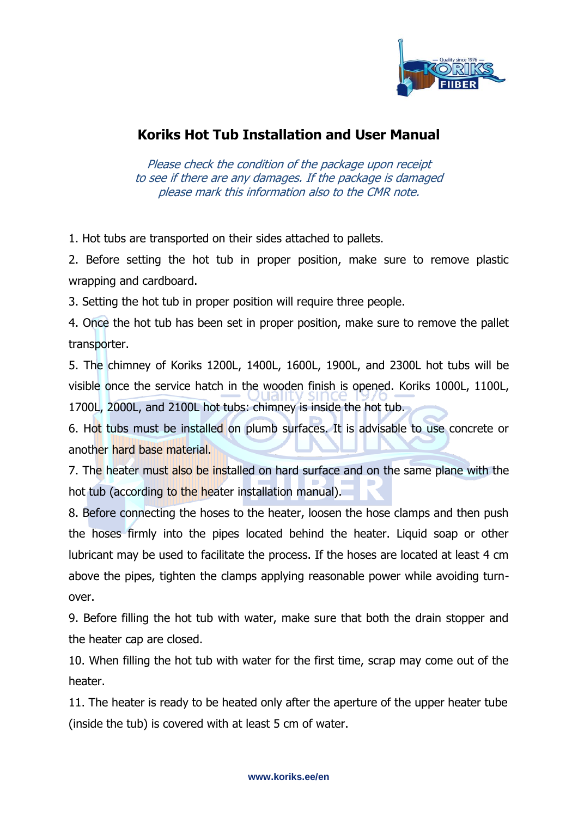

## **Koriks Hot Tub Installation and User Manual**

Please check the condition of the package upon receipt to see if there are any damages. If the package is damaged please mark this information also to the CMR note.

1. Hot tubs are transported on their sides attached to pallets.

2. Before setting the hot tub in proper position, make sure to remove plastic wrapping and cardboard.

3. Setting the hot tub in proper position will require three people.

4. Once the hot tub has been set in proper position, make sure to remove the pallet transporter.

5. The chimney of Koriks 1200L, 1400L, 1600L, 1900L, and 2300L hot tubs will be visible once the service hatch in the wooden finish is opened. Koriks 1000L, 1100L, 1700L, 2000L, and 2100L hot tubs: chimney is inside the hot tub.

6. Hot tubs must be installed on plumb surfaces. It is advisable to use concrete or another hard base material.

7. The heater must also be installed on hard surface and on the same plane with the hot tub (according to the heater installation manual).

8. Before connecting the hoses to the heater, loosen the hose clamps and then push the hoses firmly into the pipes located behind the heater. Liquid soap or other lubricant may be used to facilitate the process. If the hoses are located at least 4 cm above the pipes, tighten the clamps applying reasonable power while avoiding turnover.

9. Before filling the hot tub with water, make sure that both the drain stopper and the heater cap are closed.

10. When filling the hot tub with water for the first time, scrap may come out of the heater.

11. The heater is ready to be heated only after the aperture of the upper heater tube (inside the tub) is covered with at least 5 cm of water.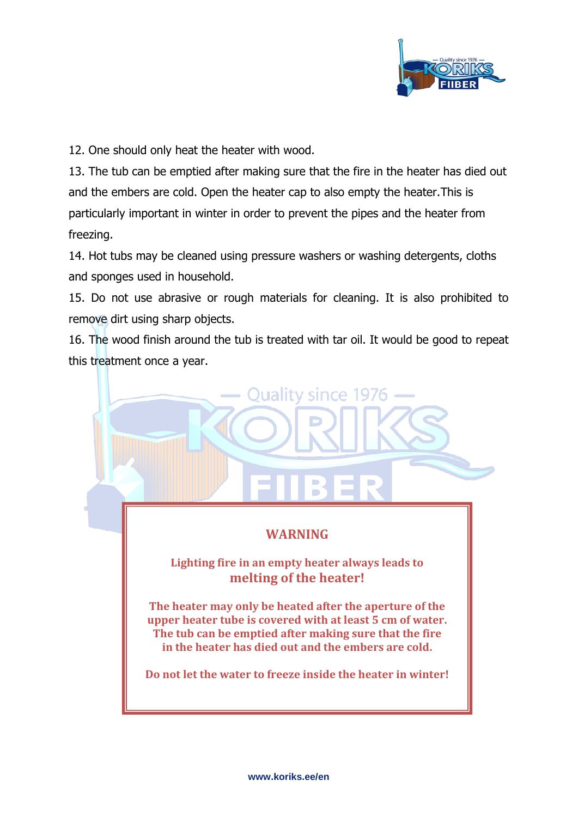

12. One should only heat the heater with wood.

13. The tub can be emptied after making sure that the fire in the heater has died out and the embers are cold. Open the heater cap to also empty the heater.This is particularly important in winter in order to prevent the pipes and the heater from freezing.

14. Hot tubs may be cleaned using pressure washers or washing detergents, cloths and sponges used in household.

15. Do not use abrasive or rough materials for cleaning. It is also prohibited to remove dirt using sharp objects.

16. The wood finish around the tub is treated with tar oil. It would be good to repeat this treatment once a year.

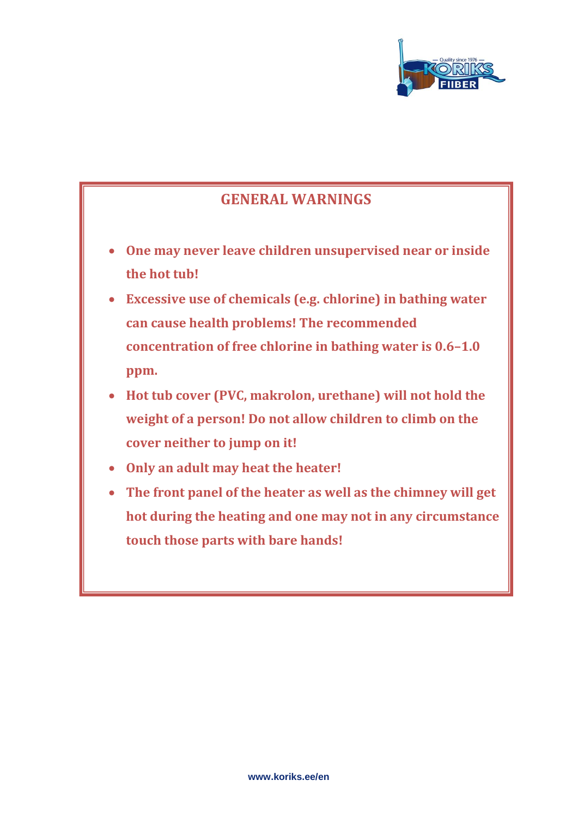

## **GENERAL WARNINGS**

- **One may never leave children unsupervised near or inside the hot tub!**
- **Excessive use of chemicals (e.g. chlorine) in bathing water can cause health problems! The recommended concentration of free chlorine in bathing water is 0.6–1.0 ppm.**
- **Hot tub cover (PVC, makrolon, urethane) will not hold the weight of a person! Do not allow children to climb on the cover neither to jump on it!**
- **Only an adult may heat the heater!**
- **The front panel of the heater as well as the chimney will get hot during the heating and one may not in any circumstance touch those parts with bare hands!**